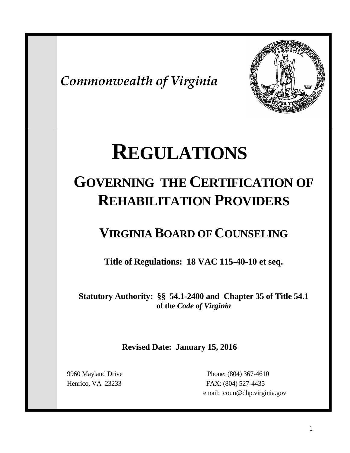*Commonwealth of Virginia*



# **REGULATIONS**

## **GOVERNING THE CERTIFICATION OF REHABILITATION PROVIDERS**

### **VIRGINIA BOARD OF COUNSELING**

**Title of Regulations: 18 VAC 115-40-10 et seq.**

**Statutory Authority: §§ 54.1-2400 and Chapter 35 of Title 54.1 of the** *Code of Virginia*

**Revised Date: January 15, 2016**

 9960 Mayland Drive Phone: (804) 367-4610 Henrico, VA 23233 FAX: (804) 527-4435 email: coun@dhp.virginia.gov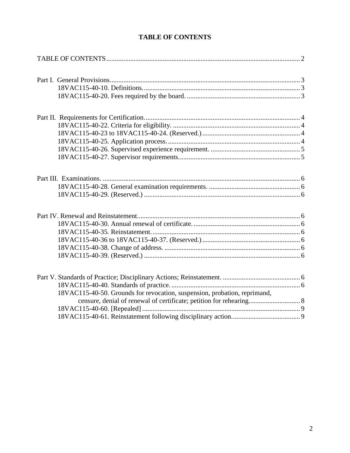<span id="page-1-0"></span>

| 18VAC115-40-50. Grounds for revocation, suspension, probation, reprimand, |
|---------------------------------------------------------------------------|
| censure, denial of renewal of certificate; petition for rehearing 8       |
|                                                                           |
|                                                                           |

#### **TABLE OF CONTENTS**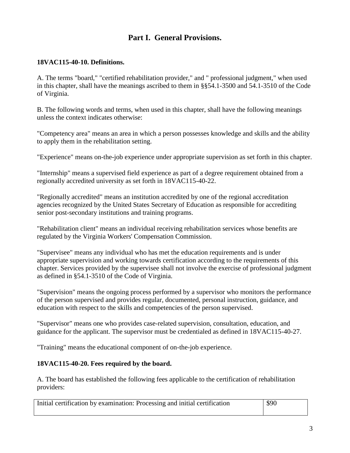#### **Part I. General Provisions.**

#### <span id="page-2-1"></span><span id="page-2-0"></span>**18VAC115-40-10. Definitions.**

A. The terms "board," "certified rehabilitation provider," and " professional judgment," when used in this chapter, shall have the meanings ascribed to them in §§54.1-3500 and 54.1-3510 of the Code of Virginia.

B. The following words and terms, when used in this chapter, shall have the following meanings unless the context indicates otherwise:

"Competency area" means an area in which a person possesses knowledge and skills and the ability to apply them in the rehabilitation setting.

"Experience" means on-the-job experience under appropriate supervision as set forth in this chapter.

"Internship" means a supervised field experience as part of a degree requirement obtained from a regionally accredited university as set forth in 18VAC115-40-22.

"Regionally accredited" means an institution accredited by one of the regional accreditation agencies recognized by the United States Secretary of Education as responsible for accrediting senior post-secondary institutions and training programs.

"Rehabilitation client" means an individual receiving rehabilitation services whose benefits are regulated by the Virginia Workers' Compensation Commission.

"Supervisee" means any individual who has met the education requirements and is under appropriate supervision and working towards certification according to the requirements of this chapter. Services provided by the supervisee shall not involve the exercise of professional judgment as defined in §54.1-3510 of the Code of Virginia.

"Supervision" means the ongoing process performed by a supervisor who monitors the performance of the person supervised and provides regular, documented, personal instruction, guidance, and education with respect to the skills and competencies of the person supervised.

"Supervisor" means one who provides case-related supervision, consultation, education, and guidance for the applicant. The supervisor must be credentialed as defined in 18VAC115-40-27.

"Training" means the educational component of on-the-job experience.

#### <span id="page-2-2"></span>**18VAC115-40-20. Fees required by the board.**

A. The board has established the following fees applicable to the certification of rehabilitation providers:

| Initial certification by examination: Processing and initial certification | \$90 |  |
|----------------------------------------------------------------------------|------|--|
|----------------------------------------------------------------------------|------|--|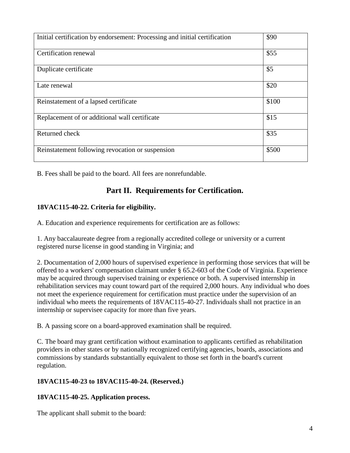| Initial certification by endorsement: Processing and initial certification | \$90  |
|----------------------------------------------------------------------------|-------|
| Certification renewal                                                      | \$55  |
| Duplicate certificate                                                      | \$5   |
| Late renewal                                                               | \$20  |
| Reinstatement of a lapsed certificate                                      | \$100 |
| Replacement of or additional wall certificate                              | \$15  |
| Returned check                                                             | \$35  |
| Reinstatement following revocation or suspension                           | \$500 |

<span id="page-3-0"></span>B. Fees shall be paid to the board. All fees are nonrefundable.

#### **Part II. Requirements for Certification.**

#### <span id="page-3-1"></span>**18VAC115-40-22. Criteria for eligibility.**

A. Education and experience requirements for certification are as follows:

1. Any baccalaureate degree from a regionally accredited college or university or a current registered nurse license in good standing in Virginia; and

2. Documentation of 2,000 hours of supervised experience in performing those services that will be offered to a workers' compensation claimant under § 65.2-603 of the Code of Virginia. Experience may be acquired through supervised training or experience or both. A supervised internship in rehabilitation services may count toward part of the required 2,000 hours. Any individual who does not meet the experience requirement for certification must practice under the supervision of an individual who meets the requirements of 18VAC115-40-27. Individuals shall not practice in an internship or supervisee capacity for more than five years.

B. A passing score on a board-approved examination shall be required.

C. The board may grant certification without examination to applicants certified as rehabilitation providers in other states or by nationally recognized certifying agencies, boards, associations and commissions by standards substantially equivalent to those set forth in the board's current regulation.

#### <span id="page-3-2"></span>**18VAC115-40-23 to 18VAC115-40-24. (Reserved.)**

#### <span id="page-3-3"></span>**18VAC115-40-25. Application process.**

The applicant shall submit to the board: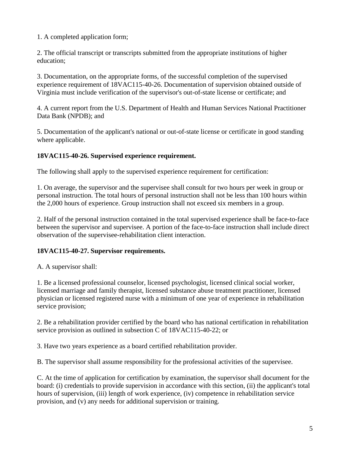1. A completed application form;

2. The official transcript or transcripts submitted from the appropriate institutions of higher education;

3. Documentation, on the appropriate forms, of the successful completion of the supervised experience requirement of 18VAC115-40-26. Documentation of supervision obtained outside of Virginia must include verification of the supervisor's out-of-state license or certificate; and

4. A current report from the U.S. Department of Health and Human Services National Practitioner Data Bank (NPDB); and

5. Documentation of the applicant's national or out-of-state license or certificate in good standing where applicable.

#### <span id="page-4-0"></span>**18VAC115-40-26. Supervised experience requirement.**

The following shall apply to the supervised experience requirement for certification:

1. On average, the supervisor and the supervisee shall consult for two hours per week in group or personal instruction. The total hours of personal instruction shall not be less than 100 hours within the 2,000 hours of experience. Group instruction shall not exceed six members in a group.

2. Half of the personal instruction contained in the total supervised experience shall be face-to-face between the supervisor and supervisee. A portion of the face-to-face instruction shall include direct observation of the supervisee-rehabilitation client interaction.

#### <span id="page-4-1"></span>**18VAC115-40-27. Supervisor requirements.**

A. A supervisor shall:

1. Be a licensed professional counselor, licensed psychologist, licensed clinical social worker, licensed marriage and family therapist, licensed substance abuse treatment practitioner, licensed physician or licensed registered nurse with a minimum of one year of experience in rehabilitation service provision;

2. Be a rehabilitation provider certified by the board who has national certification in rehabilitation service provision as outlined in subsection C of 18VAC115-40-22; or

3. Have two years experience as a board certified rehabilitation provider.

B. The supervisor shall assume responsibility for the professional activities of the supervisee.

C. At the time of application for certification by examination, the supervisor shall document for the board: (i) credentials to provide supervision in accordance with this section, (ii) the applicant's total hours of supervision, (iii) length of work experience, (iv) competence in rehabilitation service provision, and (v) any needs for additional supervision or training.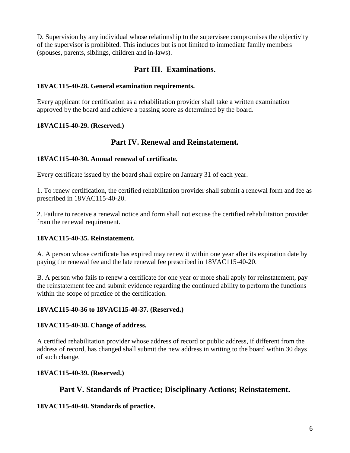D. Supervision by any individual whose relationship to the supervisee compromises the objectivity of the supervisor is prohibited. This includes but is not limited to immediate family members (spouses, parents, siblings, children and in-laws).

#### **Part III. Examinations.**

#### <span id="page-5-1"></span><span id="page-5-0"></span>**18VAC115-40-28. General examination requirements.**

Every applicant for certification as a rehabilitation provider shall take a written examination approved by the board and achieve a passing score as determined by the board.

#### <span id="page-5-3"></span><span id="page-5-2"></span>**18VAC115-40-29. (Reserved.)**

#### **Part IV. Renewal and Reinstatement.**

#### <span id="page-5-4"></span>**18VAC115-40-30. Annual renewal of certificate.**

Every certificate issued by the board shall expire on January 31 of each year.

1. To renew certification, the certified rehabilitation provider shall submit a renewal form and fee as prescribed in 18VAC115-40-20.

2. Failure to receive a renewal notice and form shall not excuse the certified rehabilitation provider from the renewal requirement.

#### <span id="page-5-5"></span>**18VAC115-40-35. Reinstatement.**

A. A person whose certificate has expired may renew it within one year after its expiration date by paying the renewal fee and the late renewal fee prescribed in 18VAC115-40-20.

B. A person who fails to renew a certificate for one year or more shall apply for reinstatement, pay the reinstatement fee and submit evidence regarding the continued ability to perform the functions within the scope of practice of the certification.

#### <span id="page-5-6"></span>**18VAC115-40-36 to 18VAC115-40-37. (Reserved.)**

#### <span id="page-5-7"></span>**18VAC115-40-38. Change of address.**

A certified rehabilitation provider whose address of record or public address, if different from the address of record, has changed shall submit the new address in writing to the board within 30 days of such change.

#### <span id="page-5-9"></span><span id="page-5-8"></span>**18VAC115-40-39. (Reserved.)**

#### **Part V. Standards of Practice; Disciplinary Actions; Reinstatement.**

#### <span id="page-5-10"></span>**18VAC115-40-40. Standards of practice.**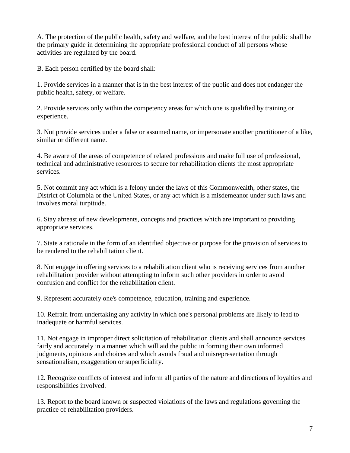A. The protection of the public health, safety and welfare, and the best interest of the public shall be the primary guide in determining the appropriate professional conduct of all persons whose activities are regulated by the board.

B. Each person certified by the board shall:

1. Provide services in a manner that is in the best interest of the public and does not endanger the public health, safety, or welfare.

2. Provide services only within the competency areas for which one is qualified by training or experience.

3. Not provide services under a false or assumed name, or impersonate another practitioner of a like, similar or different name.

4. Be aware of the areas of competence of related professions and make full use of professional, technical and administrative resources to secure for rehabilitation clients the most appropriate services.

5. Not commit any act which is a felony under the laws of this Commonwealth, other states, the District of Columbia or the United States, or any act which is a misdemeanor under such laws and involves moral turpitude.

6. Stay abreast of new developments, concepts and practices which are important to providing appropriate services.

7. State a rationale in the form of an identified objective or purpose for the provision of services to be rendered to the rehabilitation client.

8. Not engage in offering services to a rehabilitation client who is receiving services from another rehabilitation provider without attempting to inform such other providers in order to avoid confusion and conflict for the rehabilitation client.

9. Represent accurately one's competence, education, training and experience.

10. Refrain from undertaking any activity in which one's personal problems are likely to lead to inadequate or harmful services.

11. Not engage in improper direct solicitation of rehabilitation clients and shall announce services fairly and accurately in a manner which will aid the public in forming their own informed judgments, opinions and choices and which avoids fraud and misrepresentation through sensationalism, exaggeration or superficiality.

12. Recognize conflicts of interest and inform all parties of the nature and directions of loyalties and responsibilities involved.

13. Report to the board known or suspected violations of the laws and regulations governing the practice of rehabilitation providers.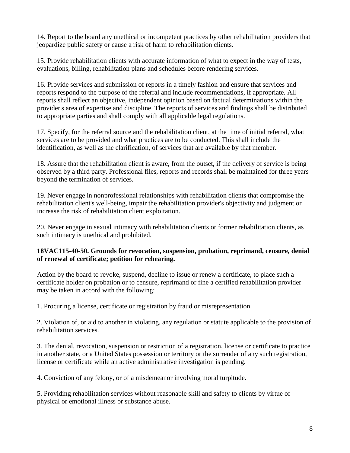14. Report to the board any unethical or incompetent practices by other rehabilitation providers that jeopardize public safety or cause a risk of harm to rehabilitation clients.

15. Provide rehabilitation clients with accurate information of what to expect in the way of tests, evaluations, billing, rehabilitation plans and schedules before rendering services.

16. Provide services and submission of reports in a timely fashion and ensure that services and reports respond to the purpose of the referral and include recommendations, if appropriate. All reports shall reflect an objective, independent opinion based on factual determinations within the provider's area of expertise and discipline. The reports of services and findings shall be distributed to appropriate parties and shall comply with all applicable legal regulations.

17. Specify, for the referral source and the rehabilitation client, at the time of initial referral, what services are to be provided and what practices are to be conducted. This shall include the identification, as well as the clarification, of services that are available by that member.

18. Assure that the rehabilitation client is aware, from the outset, if the delivery of service is being observed by a third party. Professional files, reports and records shall be maintained for three years beyond the termination of services.

19. Never engage in nonprofessional relationships with rehabilitation clients that compromise the rehabilitation client's well-being, impair the rehabilitation provider's objectivity and judgment or increase the risk of rehabilitation client exploitation.

20. Never engage in sexual intimacy with rehabilitation clients or former rehabilitation clients, as such intimacy is unethical and prohibited.

#### <span id="page-7-0"></span>**18VAC115-40-50. Grounds for revocation, suspension, probation, reprimand, censure, denial of renewal of certificate; petition for rehearing.**

Action by the board to revoke, suspend, decline to issue or renew a certificate, to place such a certificate holder on probation or to censure, reprimand or fine a certified rehabilitation provider may be taken in accord with the following:

1. Procuring a license, certificate or registration by fraud or misrepresentation.

2. Violation of, or aid to another in violating, any regulation or statute applicable to the provision of rehabilitation services.

3. The denial, revocation, suspension or restriction of a registration, license or certificate to practice in another state, or a United States possession or territory or the surrender of any such registration, license or certificate while an active administrative investigation is pending.

4. Conviction of any felony, or of a misdemeanor involving moral turpitude.

5. Providing rehabilitation services without reasonable skill and safety to clients by virtue of physical or emotional illness or substance abuse.